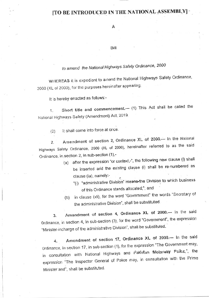## [TO BE INTRODUCED IN THE NATIONAL ASSEMBLY]

Α

Bill

## to amend the National Highways Safely Ordinance, 2000

WHEREAS it is expedient to amend the National Highways Safety Ordinance, 2000 (XL of 2000), for the purposes hereinafter appearing;

It is hereby enacted as follows:-

Short title and commencement.- (1) This Act shall be called the 1. National Highways Safety (Amendment) Act, 2019.

It shall come into force at once.  $(2)$ 

Amendment of section 2, Ordinance XL of 2000.- In the National  $\overline{2}$ . Highways Safety Ordinance, 2000 (XL of 2000), hereinafter referred to as the said Ordinance, in section 2, in sub-section (1),-

- (a) after the expression "or context,-", the following new clause (i) shall be inserted and the existing clause (i) shall be re-numbered as clause (ia), namely:-
	- "(i) "administrative Division" means the Division to which business of this Ordinance stands allocated;"; and
- in clause (xli), for the word "Government" the words "Secretary of  $(b)$ the administrative Division", shall be substituted.

Amendment of section 4, Ordinance XL of 2000.- In the said 3. Ordinance, in section 4, in sub-section (3), for the word "Government", the expression "Minister-incharge of the administrative Division", shall be substituted.

Amendment of section 17, Ordinance XL of 2000.- In the said 4. Ordinance, in section 17, in sub-section (1), for the expression "The Government may, in consultation with National Highways and Pakistan Molerway Folke,", the expression "The Inspector General of Police may, in consultation with the Prime Minister and", shall be substituted.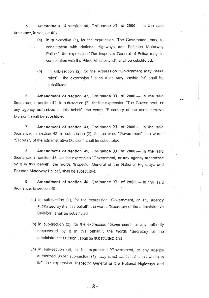5. Amendment of section 40, Ordinance XL of 2000.- In the said Ordinance, in section 40.-

 $\ddot{\phantom{a}}$ 

- (a) in sub-section (1), for the expression "The Government may, in consultation with National Highways and Pakistan Motorway Police.", the expression "The Inspector General of Police may, in consultation with the Prime Minister and", shall be substituted;
- (b) in sub-section  $(2)$ , for the expression "Government may make rules", the expression " such rules may provide for" shall be substituted.

6. Amendment of section 42, Ordinance XL of 2000.-- In the said Ordinance, in section 42, in sub-section (2), for the expression "The Government, or any agency authorized in this behalf', the words "Secretary of the administrative Division", shall be substituted.

7. Amendment of section 43, Ordinance XL of 2000.- In the said ordinance, in section 43, in sub-section (2), for the word "Government", the words. 'Secretary of the administrative Divisioo', shall be subshtuted.

3. Amendment of section 45, Ordinance XL of 2000.- In the said Ordinance, in section 45, for the expression "Government, or any agency authorized by it in this behalf', the words "Inspector General of the National Highways and Pakistan Motorway Police', shall be substituted

9. Amendment of section 46, Qrdinance XL of 2000.- In the said 0rdinance, in section 46,-

- (a) in sub-section (1), for the expression "Government, or any agency authorized by it in this behalf, the words 'Secretary of the administrative Oivision', shall be subslituted:
- (b) in sub-section (2), for the expression "Government, or any authority empowered by it in this behalf,", the words "Secretary of the administrative Division", shall be substituted; and
- (c) in sub-section (3), for the expression 'Govemment, or any agency authorized under sub-section (1), may erect additional signs which in its', the expression "inspector Genersi of the Nationat Highways and

 $-2-$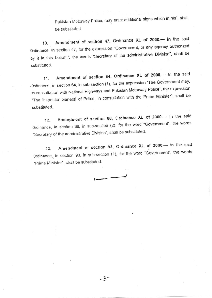Pakistan Motorway Police, may erect additional signs which in his'', shall be substituted.

10. Amendment of section 47, Ordinance XL of 2000.- In the said Ordinance. in section 47, for the expression "Government, or any agency authorized by it in this behalf,", the words "Secretary of the administrative Division", shall be substituted.

11. Amendment of section 64, Ordinance XL of 2000.- In the said Grdinance, in section 64, in sub-section (1), for the expression "The Government may, in consultation with National Highways and Pakistan Motorway Police", the expression 'The Inspector General of Police, in consultation with the Prime Minister", shall be substituted.

12. Amendment of section 68, Ordinance XL of 2000.- In the said Ordinance, in section 68, in sub-section (2), for the word "Government", the words 'Secretary of the administrative Division'', shall be substituted.

13. Amendment of section 93, Ordinance XL of 2000.-- In the said Ordinance, in section 93, in sub-section (1), for the word "Government", the words "Prime Minister", shall be substituted.